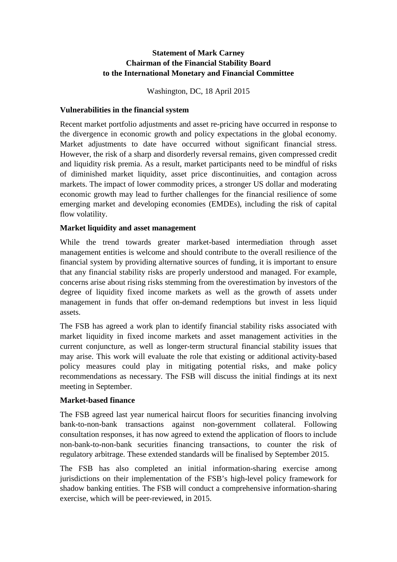## **Statement of Mark Carney Chairman of the Financial Stability Board to the International Monetary and Financial Committee**

Washington, DC, 18 April 2015

#### **Vulnerabilities in the financial system**

Recent market portfolio adjustments and asset re-pricing have occurred in response to the divergence in economic growth and policy expectations in the global economy. Market adjustments to date have occurred without significant financial stress. However, the risk of a sharp and disorderly reversal remains, given compressed credit and liquidity risk premia. As a result, market participants need to be mindful of risks of diminished market liquidity, asset price discontinuities, and contagion across markets. The impact of lower commodity prices, a stronger US dollar and moderating economic growth may lead to further challenges for the financial resilience of some emerging market and developing economies (EMDEs), including the risk of capital flow volatility.

### **Market liquidity and asset management**

While the trend towards greater market-based intermediation through asset management entities is welcome and should contribute to the overall resilience of the financial system by providing alternative sources of funding, it is important to ensure that any financial stability risks are properly understood and managed. For example, concerns arise about rising risks stemming from the overestimation by investors of the degree of liquidity fixed income markets as well as the growth of assets under management in funds that offer on-demand redemptions but invest in less liquid assets.

The FSB has agreed a work plan to identify financial stability risks associated with market liquidity in fixed income markets and asset management activities in the current conjuncture, as well as longer-term structural financial stability issues that may arise. This work will evaluate the role that existing or additional activity-based policy measures could play in mitigating potential risks, and make policy recommendations as necessary. The FSB will discuss the initial findings at its next meeting in September.

#### **Market-based finance**

The FSB agreed last year numerical haircut floors for securities financing involving bank-to-non-bank transactions against non-government collateral. Following consultation responses, it has now agreed to extend the application of floors to include non-bank-to-non-bank securities financing transactions, to counter the risk of regulatory arbitrage. These extended standards will be finalised by September 2015.

The FSB has also completed an initial information-sharing exercise among jurisdictions on their implementation of the FSB's high-level policy framework for shadow banking entities. The FSB will conduct a comprehensive information-sharing exercise, which will be peer-reviewed, in 2015.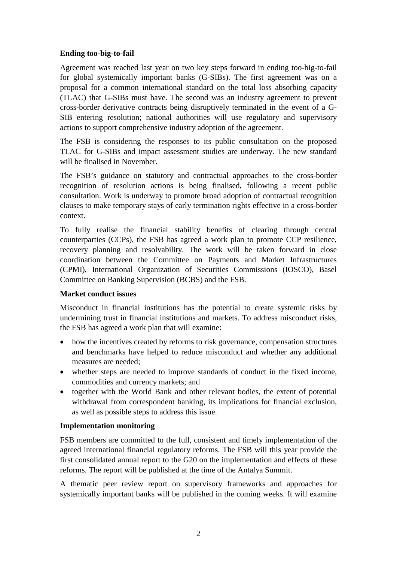## **Ending too-big-to-fail**

Agreement was reached last year on two key steps forward in ending too-big-to-fail for global systemically important banks (G-SIBs). The first agreement was on a proposal for a common international standard on the total loss absorbing capacity (TLAC) that G-SIBs must have. The second was an industry agreement to prevent cross-border derivative contracts being disruptively terminated in the event of a G-SIB entering resolution; national authorities will use regulatory and supervisory actions to support comprehensive industry adoption of the agreement.

The FSB is considering the responses to its public consultation on the proposed TLAC for G-SIBs and impact assessment studies are underway. The new standard will be finalised in November.

The FSB's guidance on statutory and contractual approaches to the cross-border recognition of resolution actions is being finalised, following a recent public consultation. Work is underway to promote broad adoption of contractual recognition clauses to make temporary stays of early termination rights effective in a cross-border context.

To fully realise the financial stability benefits of clearing through central counterparties (CCPs), the FSB has agreed a work plan to promote CCP resilience, recovery planning and resolvability. The work will be taken forward in close coordination between the Committee on Payments and Market Infrastructures (CPMI), International Organization of Securities Commissions (IOSCO), Basel Committee on Banking Supervision (BCBS) and the FSB.

#### **Market conduct issues**

Misconduct in financial institutions has the potential to create systemic risks by undermining trust in financial institutions and markets. To address misconduct risks, the FSB has agreed a work plan that will examine:

- how the incentives created by reforms to risk governance, compensation structures and benchmarks have helped to reduce misconduct and whether any additional measures are needed;
- whether steps are needed to improve standards of conduct in the fixed income, commodities and currency markets; and
- together with the World Bank and other relevant bodies, the extent of potential withdrawal from correspondent banking, its implications for financial exclusion, as well as possible steps to address this issue.

#### **Implementation monitoring**

FSB members are committed to the full, consistent and timely implementation of the agreed international financial regulatory reforms. The FSB will this year provide the first consolidated annual report to the G20 on the implementation and effects of these reforms. The report will be published at the time of the Antalya Summit.

A thematic peer review report on supervisory frameworks and approaches for systemically important banks will be published in the coming weeks. It will examine